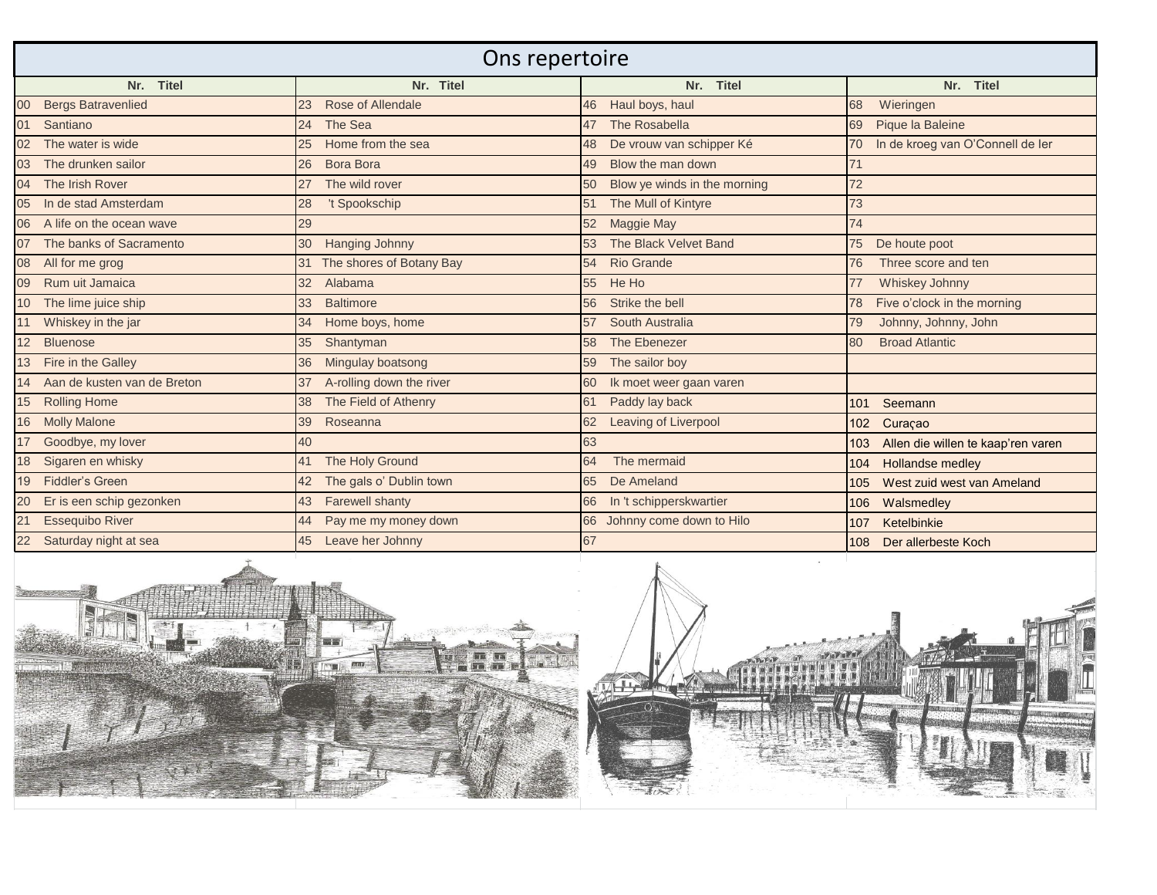| Ons repertoire                  |                                          |                                 |                                           |
|---------------------------------|------------------------------------------|---------------------------------|-------------------------------------------|
| Nr. Titel                       | Nr. Titel                                | Nr. Titel                       | Nr. Titel                                 |
| 00<br><b>Bergs Batravenlied</b> | Rose of Allendale<br>23                  | 46 Haul boys, haul              | Wieringen<br>68                           |
| 01<br>Santiano                  | The Sea<br>24                            | 47 The Rosabella                | Pique la Baleine<br>69                    |
| 02 The water is wide            | Home from the sea<br>25                  | 48 De vrouw van schipper Ké     | In de kroeg van O'Connell de Ier<br>70    |
| The drunken sailor<br>03        | Bora Bora<br>26                          | Blow the man down<br>49         | 71                                        |
| 04 The Irish Rover              | The wild rover<br>27                     | 50 Blow ye winds in the morning | 72                                        |
| 05<br>In de stad Amsterdam      | 't Spookschip<br>28                      | The Mull of Kintyre<br>51       | 73                                        |
| 06<br>A life on the ocean wave  | 29                                       | 52 Maggie May                   | 74                                        |
| 07 The banks of Sacramento      | <b>Hanging Johnny</b><br>30 <sup>2</sup> | 53 The Black Velvet Band        | De houte poot<br>75                       |
| 08 All for me grog              | 31 The shores of Botany Bay              | 54 Rio Grande                   | Three score and ten<br>76                 |
| 09 Rum uit Jamaica              | Alabama<br>32 <sup>2</sup>               | 55 He Ho                        | Whiskey Johnny<br>77                      |
| 10 The lime juice ship          | 33<br><b>Baltimore</b>                   | Strike the bell<br>56           | Five o'clock in the morning               |
| 11 Whiskey in the jar           | Home boys, home<br>34                    | South Australia<br>57           | Johnny, Johnny, John<br>79                |
| 12 Bluenose                     | 35<br>Shantyman                          | The Ebenezer<br>58              | 80<br><b>Broad Atlantic</b>               |
| 13 Fire in the Galley           | Mingulay boatsong<br>36                  | The sailor boy<br>59            |                                           |
| 14 Aan de kusten van de Breton  | A-rolling down the river<br>37           | 60 Ik moet weer gaan varen      |                                           |
| 15 Rolling Home                 | 38 The Field of Athenry                  | Paddy lay back<br>61            | Seemann<br>101                            |
| 16<br><b>Molly Malone</b>       | Roseanna<br>39                           | 62 Leaving of Liverpool         | 102<br>Curaçao                            |
| 17 Goodbye, my lover            | 40                                       | 63                              | Allen die willen te kaap'ren varen<br>103 |
| 18 Sigaren en whisky            | 41 The Holy Ground                       | 64<br>The mermaid               | Hollandse medley<br>104                   |
| 19<br>Fiddler's Green           | The gals o' Dublin town<br>42            | De Ameland                      | West zuid west van Ameland<br>105         |
| 20<br>Er is een schip gezonken  | <b>Farewell shanty</b><br>43             | In 't schipperskwartier         | Walsmedley<br>106                         |
| 21<br><b>Essequibo River</b>    | Pay me my money down<br>44               | 66 Johnny come down to Hilo     | Ketelbinkie<br>107                        |
| 22 Saturday night at sea        | Leave her Johnny<br>45                   | 67                              | Der allerbeste Koch<br>108                |



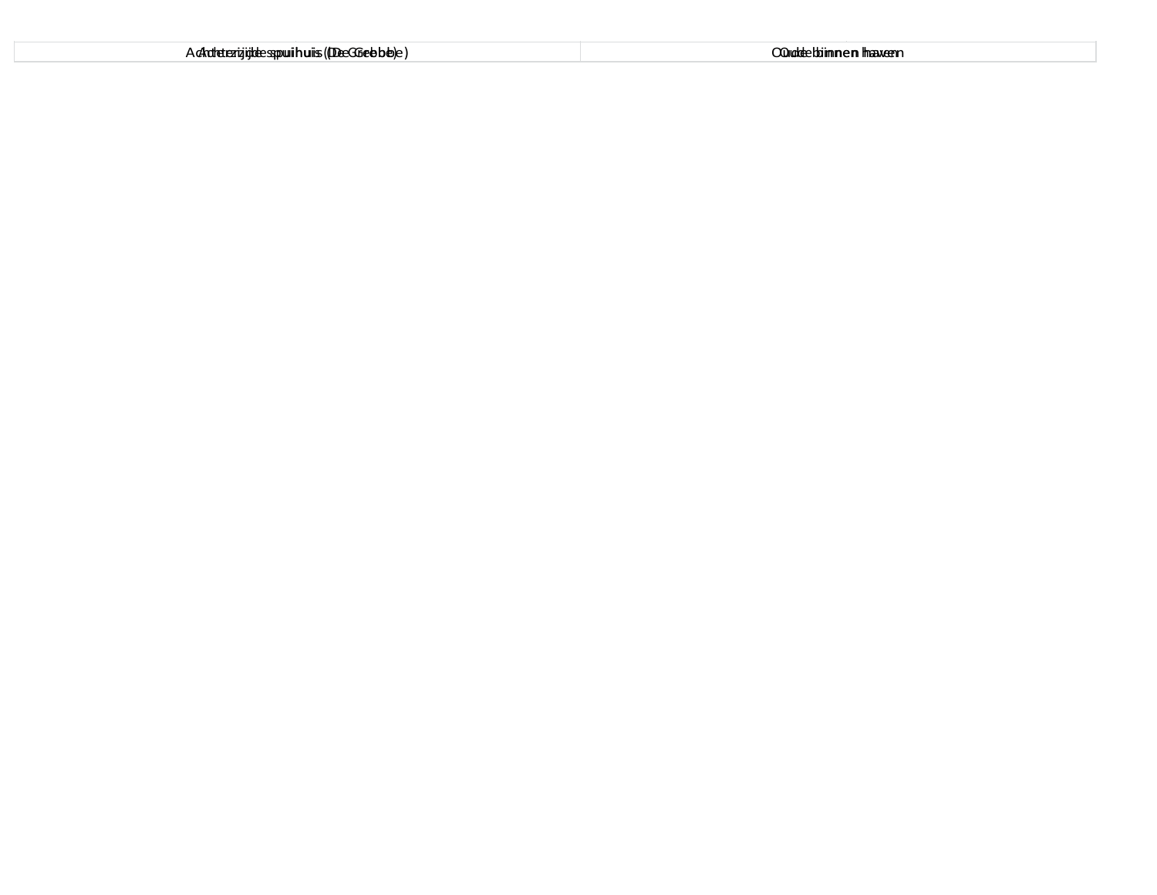| A chateterizigide sopui huis (Dee GGebbe) e) | OQuddecbiimnem Imaxeem |
|----------------------------------------------|------------------------|
|----------------------------------------------|------------------------|